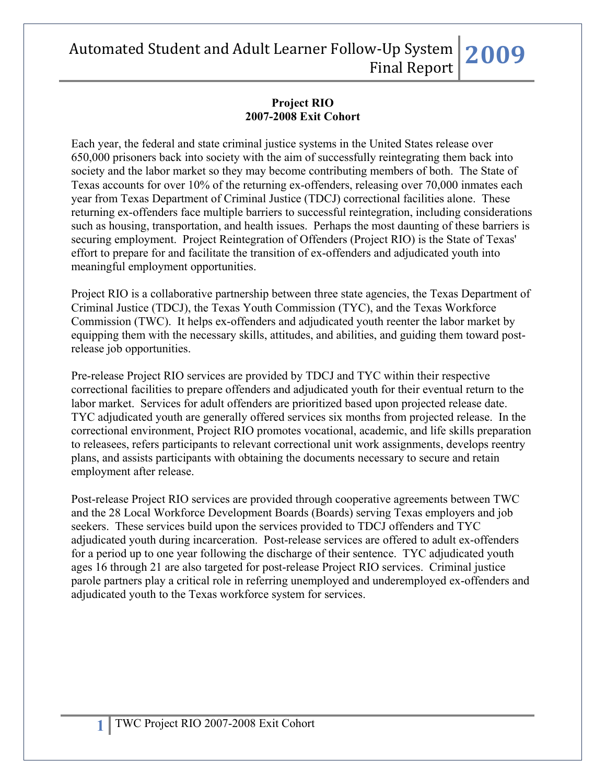#### **Project RIO 2007-2008 Exit Cohort**

Each year, the federal and state criminal justice systems in the United States release over 650,000 prisoners back into society with the aim of successfully reintegrating them back into society and the labor market so they may become contributing members of both. The State of Texas accounts for over 10% of the returning ex-offenders, releasing over 70,000 inmates each year from Texas Department of Criminal Justice (TDCJ) correctional facilities alone. These returning ex-offenders face multiple barriers to successful reintegration, including considerations such as housing, transportation, and health issues. Perhaps the most daunting of these barriers is securing employment. Project Reintegration of Offenders (Project RIO) is the State of Texas' effort to prepare for and facilitate the transition of ex-offenders and adjudicated youth into meaningful employment opportunities.

Project RIO is a collaborative partnership between three state agencies, the Texas Department of Criminal Justice (TDCJ), the Texas Youth Commission (TYC), and the Texas Workforce Commission (TWC). It helps ex-offenders and adjudicated youth reenter the labor market by equipping them with the necessary skills, attitudes, and abilities, and guiding them toward postrelease job opportunities.

Pre-release Project RIO services are provided by TDCJ and TYC within their respective correctional facilities to prepare offenders and adjudicated youth for their eventual return to the labor market. Services for adult offenders are prioritized based upon projected release date. TYC adjudicated youth are generally offered services six months from projected release. In the correctional environment, Project RIO promotes vocational, academic, and life skills preparation to releasees, refers participants to relevant correctional unit work assignments, develops reentry plans, and assists participants with obtaining the documents necessary to secure and retain employment after release.

Post-release Project RIO services are provided through cooperative agreements between TWC and the 28 Local Workforce Development Boards (Boards) serving Texas employers and job seekers. These services build upon the services provided to TDCJ offenders and TYC adjudicated youth during incarceration. Post-release services are offered to adult ex-offenders for a period up to one year following the discharge of their sentence. TYC adjudicated youth ages 16 through 21 are also targeted for post-release Project RIO services. Criminal justice parole partners play a critical role in referring unemployed and underemployed ex-offenders and adjudicated youth to the Texas workforce system for services.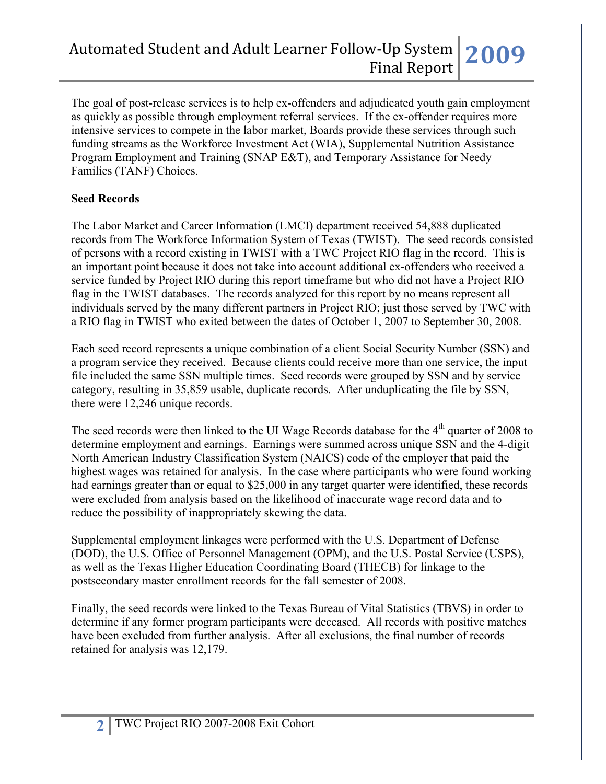The goal of post-release services is to help ex-offenders and adjudicated youth gain employment as quickly as possible through employment referral services. If the ex-offender requires more intensive services to compete in the labor market, Boards provide these services through such funding streams as the Workforce Investment Act (WIA), Supplemental Nutrition Assistance Program Employment and Training (SNAP E&T), and Temporary Assistance for Needy Families (TANF) Choices.

### **Seed Records**

The Labor Market and Career Information (LMCI) department received 54,888 duplicated records from The Workforce Information System of Texas (TWIST). The seed records consisted of persons with a record existing in TWIST with a TWC Project RIO flag in the record. This is an important point because it does not take into account additional ex-offenders who received a service funded by Project RIO during this report timeframe but who did not have a Project RIO flag in the TWIST databases. The records analyzed for this report by no means represent all individuals served by the many different partners in Project RIO; just those served by TWC with a RIO flag in TWIST who exited between the dates of October 1, 2007 to September 30, 2008.

Each seed record represents a unique combination of a client Social Security Number (SSN) and a program service they received. Because clients could receive more than one service, the input file included the same SSN multiple times. Seed records were grouped by SSN and by service category, resulting in 35,859 usable, duplicate records. After unduplicating the file by SSN, there were 12,246 unique records.

The seed records were then linked to the UI Wage Records database for the  $4<sup>th</sup>$  quarter of 2008 to determine employment and earnings. Earnings were summed across unique SSN and the 4-digit North American Industry Classification System (NAICS) code of the employer that paid the highest wages was retained for analysis. In the case where participants who were found working had earnings greater than or equal to \$25,000 in any target quarter were identified, these records were excluded from analysis based on the likelihood of inaccurate wage record data and to reduce the possibility of inappropriately skewing the data.

Supplemental employment linkages were performed with the U.S. Department of Defense (DOD), the U.S. Office of Personnel Management (OPM), and the U.S. Postal Service (USPS), as well as the Texas Higher Education Coordinating Board (THECB) for linkage to the postsecondary master enrollment records for the fall semester of 2008.

Finally, the seed records were linked to the Texas Bureau of Vital Statistics (TBVS) in order to determine if any former program participants were deceased. All records with positive matches have been excluded from further analysis. After all exclusions, the final number of records retained for analysis was 12,179.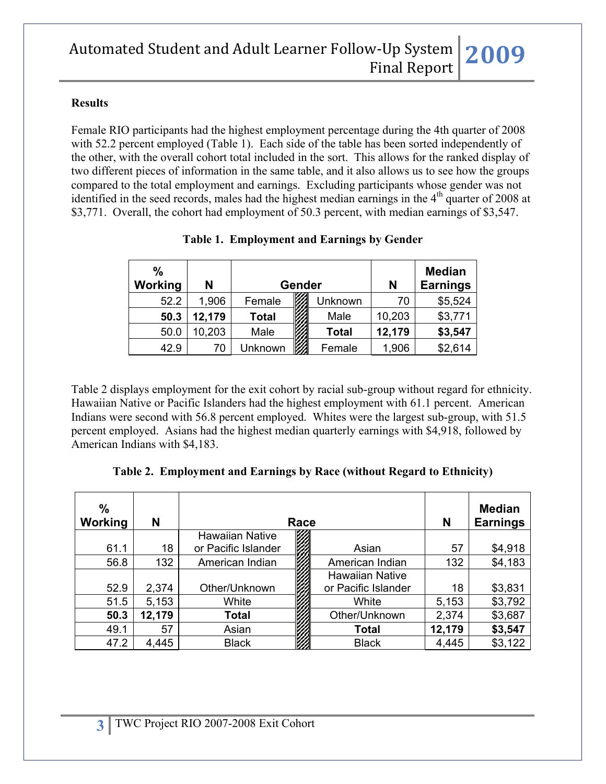#### **Results**

Female RIO participants had the highest employment percentage during the 4th quarter of 2008 with 52.2 percent employed (Table 1). Each side of the table has been sorted independently of the other, with the overall cohort total included in the sort. This allows for the ranked display of two different pieces of information in the same table, and it also allows us to see how the groups compared to the total employment and earnings. Excluding participants whose gender was not identified in the seed records, males had the highest median earnings in the 4<sup>th</sup> quarter of 2008 at \$3,771. Overall, the cohort had employment of 50.3 percent, with median earnings of \$3,547.

| $\frac{0}{0}$<br>Working | N      |              | <b>Gender</b> |              | N      | <b>Median</b><br><b>Earnings</b> |
|--------------------------|--------|--------------|---------------|--------------|--------|----------------------------------|
| 52.2                     | 1,906  | Female       |               | Unknown      | 70     | \$5,524                          |
| 50.3                     | 12,179 | <b>Total</b> |               | Male         | 10,203 | \$3,771                          |
| 50.0                     | 10,203 | Male         |               | <b>Total</b> | 12,179 | \$3,547                          |
| 42.9                     | 70     | Unknown      |               | Female       | 1,906  | \$2,614                          |

|  | Table 1. Employment and Earnings by Gender |  |  |
|--|--------------------------------------------|--|--|
|--|--------------------------------------------|--|--|

Table 2 displays employment for the exit cohort by racial sub-group without regard for ethnicity. Hawaiian Native or Pacific Islanders had the highest employment with 61.1 percent. American Indians were second with 56.8 percent employed. Whites were the largest sub-group, with 51.5 percent employed. Asians had the highest median quarterly earnings with \$4,918, followed by American Indians with \$4,183.

|  |  |  | Table 2. Employment and Earnings by Race (without Regard to Ethnicity) |  |
|--|--|--|------------------------------------------------------------------------|--|
|--|--|--|------------------------------------------------------------------------|--|

| $\%$<br>Working | N      |                        | Race |                        | N      | <b>Median</b><br><b>Earnings</b> |
|-----------------|--------|------------------------|------|------------------------|--------|----------------------------------|
|                 |        | <b>Hawaiian Native</b> |      |                        |        |                                  |
| 61.1            | 18     | or Pacific Islander    |      | Asian                  | 57     | \$4,918                          |
| 56.8            | 132    | American Indian        |      | American Indian        | 132    | \$4,183                          |
|                 |        |                        |      | <b>Hawaiian Native</b> |        |                                  |
| 52.9            | 2,374  | Other/Unknown          |      | or Pacific Islander    | 18     | \$3,831                          |
| 51.5            | 5,153  | White                  |      | White                  | 5,153  | \$3,792                          |
| 50.3            | 12,179 | <b>Total</b>           |      | Other/Unknown          | 2,374  | \$3,687                          |
| 49.1            | 57     | Asian                  |      | <b>Total</b>           | 12,179 | \$3,547                          |
| 47.2            | 4,445  | <b>Black</b>           |      | <b>Black</b>           | 4,445  | \$3,122                          |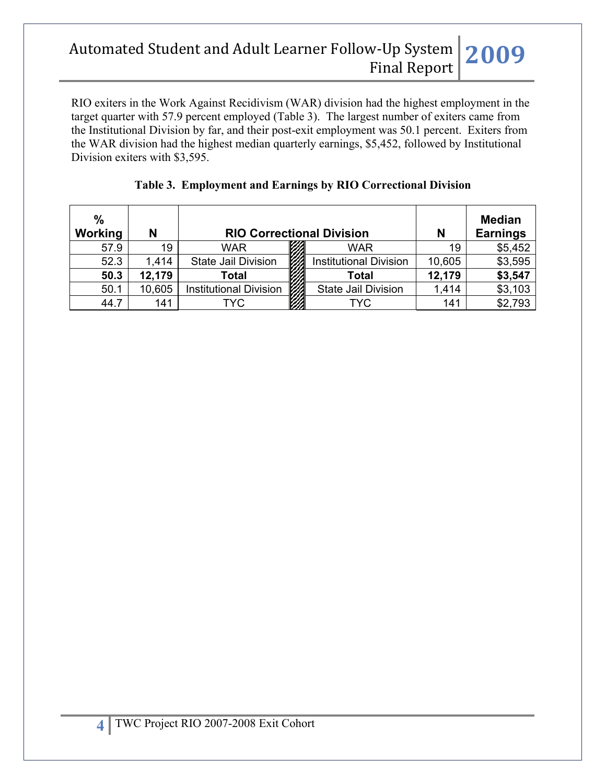RIO exiters in the Work Against Recidivism (WAR) division had the highest employment in the target quarter with 57.9 percent employed (Table 3). The largest number of exiters came from the Institutional Division by far, and their post-exit employment was 50.1 percent. Exiters from the WAR division had the highest median quarterly earnings, \$5,452, followed by Institutional Division exiters with \$3,595.

| $\frac{0}{0}$<br><b>Working</b> | N      |                               | <b>RIO Correctional Division</b> | N      | <b>Median</b><br><b>Earnings</b> |
|---------------------------------|--------|-------------------------------|----------------------------------|--------|----------------------------------|
| 57.9                            | 19     | WAR                           | <b>WAR</b>                       | 19     | \$5,452                          |
| 52.3                            | 1.414  | State Jail Division           | <b>Institutional Division</b>    | 10,605 | \$3,595                          |
| 50.3                            | 12,179 | <b>Total</b>                  | <b>Total</b>                     | 12,179 | \$3,547                          |
| 50.1                            | 10,605 | <b>Institutional Division</b> | <b>State Jail Division</b>       | 1,414  | \$3,103                          |
| 44.7                            | 141    | TYC                           | TYC.                             | 141    | \$2,793                          |

### **Table 3. Employment and Earnings by RIO Correctional Division**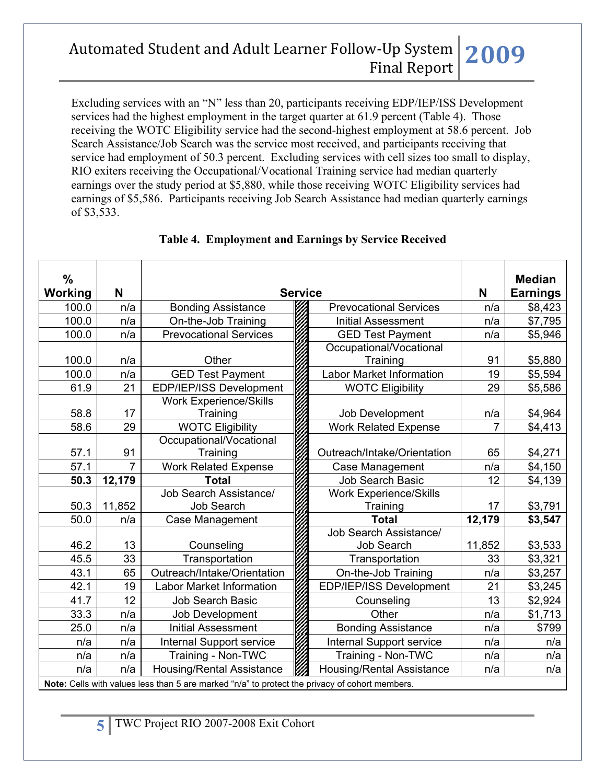Excluding services with an "N" less than 20, participants receiving EDP/IEP/ISS Development services had the highest employment in the target quarter at 61.9 percent (Table 4). Those receiving the WOTC Eligibility service had the second-highest employment at 58.6 percent. Job Search Assistance/Job Search was the service most received, and participants receiving that service had employment of 50.3 percent. Excluding services with cell sizes too small to display, RIO exiters receiving the Occupational/Vocational Training service had median quarterly earnings over the study period at \$5,880, while those receiving WOTC Eligibility services had earnings of \$5,586. Participants receiving Job Search Assistance had median quarterly earnings of \$3,533.

| $\frac{0}{0}$<br><b>Working</b> | N              | <b>Service</b>                   |                                  |          | <b>Median</b><br><b>Earnings</b> |
|---------------------------------|----------------|----------------------------------|----------------------------------|----------|----------------------------------|
| 100.0                           | n/a            | <b>Bonding Assistance</b>        | <b>Prevocational Services</b>    | N<br>n/a | \$8,423                          |
| 100.0                           | n/a            | On-the-Job Training              | <b>Initial Assessment</b>        | n/a      | \$7,795                          |
| 100.0                           | n/a            | <b>Prevocational Services</b>    | <b>GED Test Payment</b>          | n/a      | \$5,946                          |
|                                 |                |                                  | Occupational/Vocational          |          |                                  |
| 100.0                           | n/a            | Other                            | Training                         | 91       | \$5,880                          |
| 100.0                           | n/a            | <b>GED Test Payment</b>          | <b>Labor Market Information</b>  | 19       | \$5,594                          |
| 61.9                            | 21             | EDP/IEP/ISS Development          | <b>WOTC Eligibility</b>          | 29       | \$5,586                          |
|                                 |                | <b>Work Experience/Skills</b>    |                                  |          |                                  |
| 58.8                            | 17             | Training                         | Job Development                  | n/a      | \$4,964                          |
| 58.6                            | 29             | <b>WOTC Eligibility</b>          | <b>Work Related Expense</b>      | 7        | \$4,413                          |
|                                 |                | Occupational/Vocational          |                                  |          |                                  |
| 57.1                            | 91             | Training                         | Outreach/Intake/Orientation      | 65       | \$4,271                          |
| 57.1                            | $\overline{7}$ | <b>Work Related Expense</b>      | Case Management                  | n/a      | \$4,150                          |
| 50.3                            | 12,179         | <b>Total</b>                     | <b>Job Search Basic</b>          | 12       | \$4,139                          |
|                                 |                | Job Search Assistance/           | <b>Work Experience/Skills</b>    |          |                                  |
|                                 |                |                                  |                                  |          |                                  |
| 50.3                            | 11,852         | Job Search                       | Training                         | 17       | \$3,791                          |
| 50.0                            | n/a            | Case Management                  | <b>Total</b>                     | 12,179   | \$3,547                          |
|                                 |                |                                  | Job Search Assistance/           |          |                                  |
| 46.2                            | 13             | Counseling                       | <b>Job Search</b>                | 11,852   | \$3,533                          |
| 45.5                            | 33             | Transportation                   | Transportation                   | 33       | \$3,321                          |
| 43.1                            | 65             | Outreach/Intake/Orientation      | On-the-Job Training              | n/a      | \$3,257                          |
| 42.1                            | 19             | <b>Labor Market Information</b>  | EDP/IEP/ISS Development          | 21       | \$3,245                          |
| 41.7                            | 12             | Job Search Basic                 | Counseling                       | 13       | \$2,924                          |
| 33.3                            | n/a            | <b>Job Development</b>           | Other                            | n/a      | \$1,713                          |
| 25.0                            | n/a            | <b>Initial Assessment</b>        | <b>Bonding Assistance</b>        | n/a      | \$799                            |
| n/a                             | n/a            | <b>Internal Support service</b>  | Internal Support service         | n/a      | n/a                              |
| n/a                             | n/a            | Training - Non-TWC               | Training - Non-TWC               | n/a      | n/a                              |
| n/a                             | n/a            | <b>Housing/Rental Assistance</b> | <b>Housing/Rental Assistance</b> | n/a      | n/a                              |

#### **Table 4. Employment and Earnings by Service Received**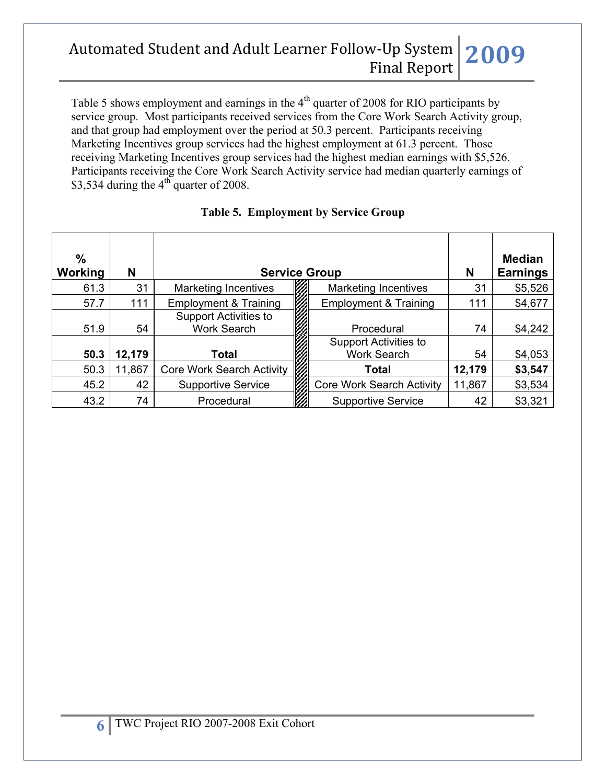Table 5 shows employment and earnings in the  $4<sup>th</sup>$  quarter of 2008 for RIO participants by service group. Most participants received services from the Core Work Search Activity group, and that group had employment over the period at 50.3 percent. Participants receiving Marketing Incentives group services had the highest employment at 61.3 percent. Those receiving Marketing Incentives group services had the highest median earnings with \$5,526. Participants receiving the Core Work Search Activity service had median quarterly earnings of \$3,534 during the  $4^{th}$  quarter of 2008.

| $\frac{0}{0}$<br><b>Working</b> | N      | <b>Service Group</b>                               |                                             | N      | <b>Median</b><br><b>Earnings</b> |
|---------------------------------|--------|----------------------------------------------------|---------------------------------------------|--------|----------------------------------|
| 61.3                            | 31     | <b>Marketing Incentives</b>                        | <b>Marketing Incentives</b>                 | 31     | \$5,526                          |
| 57.7                            | 111    | <b>Employment &amp; Training</b>                   | <b>Employment &amp; Training</b>            | 111    | \$4,677                          |
| 51.9                            | 54     | <b>Support Activities to</b><br><b>Work Search</b> | Procedural                                  | 74     | \$4,242                          |
| 50.3                            | 12,179 | Total                                              | Support Activities to<br><b>Work Search</b> | 54     | \$4,053                          |
| 50.3                            | 11,867 | <b>Core Work Search Activity</b>                   | Total                                       | 12,179 | \$3,547                          |
| 45.2                            | 42     | <b>Supportive Service</b>                          | <b>Core Work Search Activity</b>            | 11,867 | \$3,534                          |
| 43.2                            | 74     | Procedural                                         | <b>Supportive Service</b>                   | 42     | \$3,321                          |

### **Table 5. Employment by Service Group**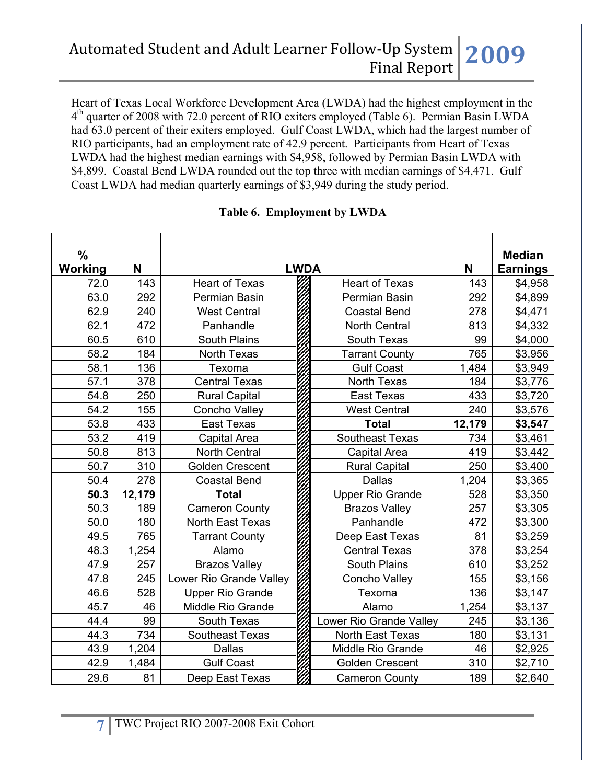Heart of Texas Local Workforce Development Area (LWDA) had the highest employment in the 4<sup>th</sup> quarter of 2008 with 72.0 percent of RIO exiters employed (Table 6). Permian Basin LWDA had 63.0 percent of their exiters employed. Gulf Coast LWDA, which had the largest number of RIO participants, had an employment rate of 42.9 percent. Participants from Heart of Texas LWDA had the highest median earnings with \$4,958, followed by Permian Basin LWDA with \$4,899. Coastal Bend LWDA rounded out the top three with median earnings of \$4,471. Gulf Coast LWDA had median quarterly earnings of \$3,949 during the study period.

| $\%$    |        |                         |             |                         |        | <b>Median</b>   |
|---------|--------|-------------------------|-------------|-------------------------|--------|-----------------|
| Working | N      |                         | <b>LWDA</b> |                         | N      | <b>Earnings</b> |
| 72.0    | 143    | <b>Heart of Texas</b>   |             | <b>Heart of Texas</b>   | 143    | \$4,958         |
| 63.0    | 292    | Permian Basin           |             | Permian Basin           | 292    | \$4,899         |
| 62.9    | 240    | <b>West Central</b>     |             | <b>Coastal Bend</b>     | 278    | \$4,471         |
| 62.1    | 472    | Panhandle               |             | North Central           | 813    | \$4,332         |
| 60.5    | 610    | South Plains            |             | South Texas             | 99     | \$4,000         |
| 58.2    | 184    | North Texas             |             | <b>Tarrant County</b>   | 765    | \$3,956         |
| 58.1    | 136    | Texoma                  |             | <b>Gulf Coast</b>       | 1,484  | \$3,949         |
| 57.1    | 378    | <b>Central Texas</b>    |             | <b>North Texas</b>      | 184    | \$3,776         |
| 54.8    | 250    | <b>Rural Capital</b>    |             | East Texas              | 433    | \$3,720         |
| 54.2    | 155    | Concho Valley           |             | <b>West Central</b>     | 240    | \$3,576         |
| 53.8    | 433    | <b>East Texas</b>       |             | <b>Total</b>            | 12,179 | \$3,547         |
| 53.2    | 419    | Capital Area            |             | Southeast Texas         | 734    | \$3,461         |
| 50.8    | 813    | North Central           |             | Capital Area            | 419    | \$3,442         |
| 50.7    | 310    | <b>Golden Crescent</b>  |             | <b>Rural Capital</b>    | 250    | \$3,400         |
| 50.4    | 278    | <b>Coastal Bend</b>     |             | <b>Dallas</b>           | 1,204  | \$3,365         |
| 50.3    | 12,179 | <b>Total</b>            |             | <b>Upper Rio Grande</b> | 528    | \$3,350         |
| 50.3    | 189    | <b>Cameron County</b>   |             | <b>Brazos Valley</b>    | 257    | \$3,305         |
| 50.0    | 180    | North East Texas        |             | Panhandle               | 472    | \$3,300         |
| 49.5    | 765    | <b>Tarrant County</b>   |             | Deep East Texas         | 81     | \$3,259         |
| 48.3    | 1,254  | Alamo                   |             | <b>Central Texas</b>    | 378    | \$3,254         |
| 47.9    | 257    | <b>Brazos Valley</b>    |             | South Plains            | 610    | \$3,252         |
| 47.8    | 245    | Lower Rio Grande Valley |             | Concho Valley           | 155    | \$3,156         |
| 46.6    | 528    | <b>Upper Rio Grande</b> |             | Texoma                  | 136    | \$3,147         |
| 45.7    | 46     | Middle Rio Grande       |             | Alamo                   | 1,254  | \$3,137         |
| 44.4    | 99     | South Texas             |             | Lower Rio Grande Valley | 245    | \$3,136         |
| 44.3    | 734    | Southeast Texas         |             | North East Texas        | 180    | \$3,131         |
| 43.9    | 1,204  | <b>Dallas</b>           |             | Middle Rio Grande       | 46     | \$2,925         |
| 42.9    | 1,484  | <b>Gulf Coast</b>       |             | Golden Crescent         | 310    | \$2,710         |
| 29.6    | 81     | Deep East Texas         |             | <b>Cameron County</b>   | 189    | \$2,640         |

#### **Table 6. Employment by LWDA**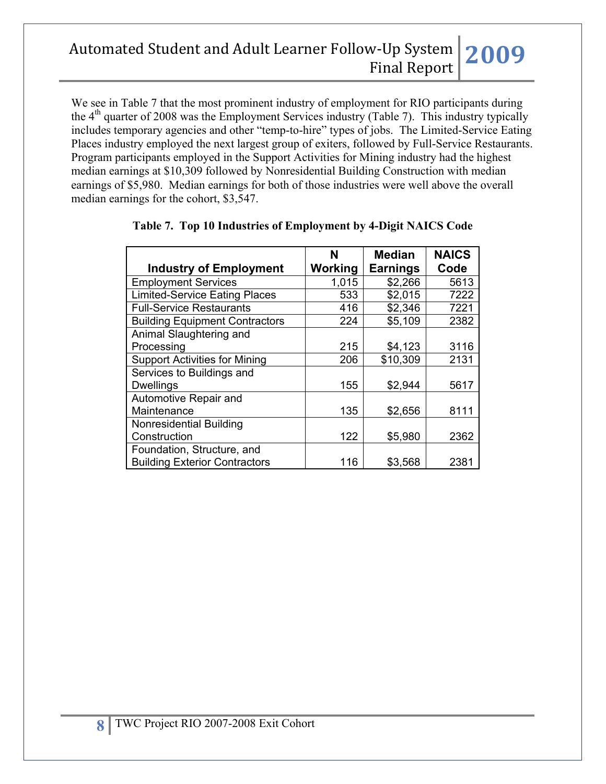We see in Table 7 that the most prominent industry of employment for RIO participants during the 4<sup>th</sup> quarter of 2008 was the Employment Services industry (Table 7). This industry typically includes temporary agencies and other "temp-to-hire" types of jobs. The Limited-Service Eating Places industry employed the next largest group of exiters, followed by Full-Service Restaurants. Program participants employed in the Support Activities for Mining industry had the highest median earnings at \$10,309 followed by Nonresidential Building Construction with median earnings of \$5,980. Median earnings for both of those industries were well above the overall median earnings for the cohort, \$3,547.

|                                       | N       | <b>Median</b>   | <b>NAICS</b> |
|---------------------------------------|---------|-----------------|--------------|
| <b>Industry of Employment</b>         | Working | <b>Earnings</b> | Code         |
| <b>Employment Services</b>            | 1,015   | \$2,266         | 5613         |
| <b>Limited-Service Eating Places</b>  | 533     | \$2,015         | 7222         |
| <b>Full-Service Restaurants</b>       | 416     | \$2,346         | 7221         |
| <b>Building Equipment Contractors</b> | 224     | \$5,109         | 2382         |
| Animal Slaughtering and               |         |                 |              |
| Processing                            | 215     | \$4,123         | 3116         |
| <b>Support Activities for Mining</b>  | 206     | \$10,309        | 2131         |
| Services to Buildings and             |         |                 |              |
| <b>Dwellings</b>                      | 155     | \$2,944         | 5617         |
| Automotive Repair and                 |         |                 |              |
| Maintenance                           | 135     | \$2,656         | 8111         |
| Nonresidential Building               |         |                 |              |
| Construction                          | 122     | \$5,980         | 2362         |
| Foundation, Structure, and            |         |                 |              |
| <b>Building Exterior Contractors</b>  | 116     | \$3,568         | 2381         |

### **Table 7. Top 10 Industries of Employment by 4-Digit NAICS Code**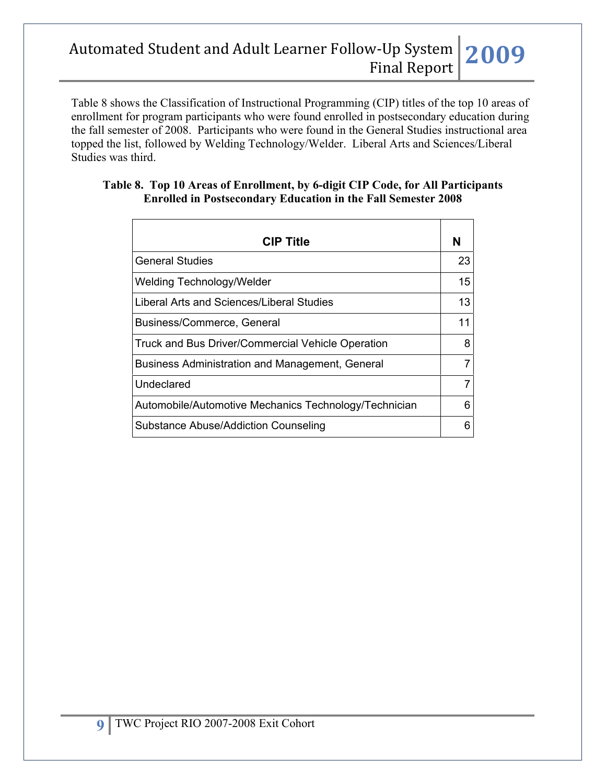Table 8 shows the Classification of Instructional Programming (CIP) titles of the top 10 areas of enrollment for program participants who were found enrolled in postsecondary education during the fall semester of 2008. Participants who were found in the General Studies instructional area topped the list, followed by Welding Technology/Welder. Liberal Arts and Sciences/Liberal Studies was third.

#### **Table 8. Top 10 Areas of Enrollment, by 6-digit CIP Code, for All Participants Enrolled in Postsecondary Education in the Fall Semester 2008**

| <b>CIP Title</b>                                       | N  |
|--------------------------------------------------------|----|
| <b>General Studies</b>                                 | 23 |
| Welding Technology/Welder                              | 15 |
| Liberal Arts and Sciences/Liberal Studies              | 13 |
| Business/Commerce, General                             | 11 |
| Truck and Bus Driver/Commercial Vehicle Operation      | 8  |
| <b>Business Administration and Management, General</b> | 7  |
| Undeclared                                             | 7  |
| Automobile/Automotive Mechanics Technology/Technician  | 6  |
| Substance Abuse/Addiction Counseling                   | 6  |
|                                                        |    |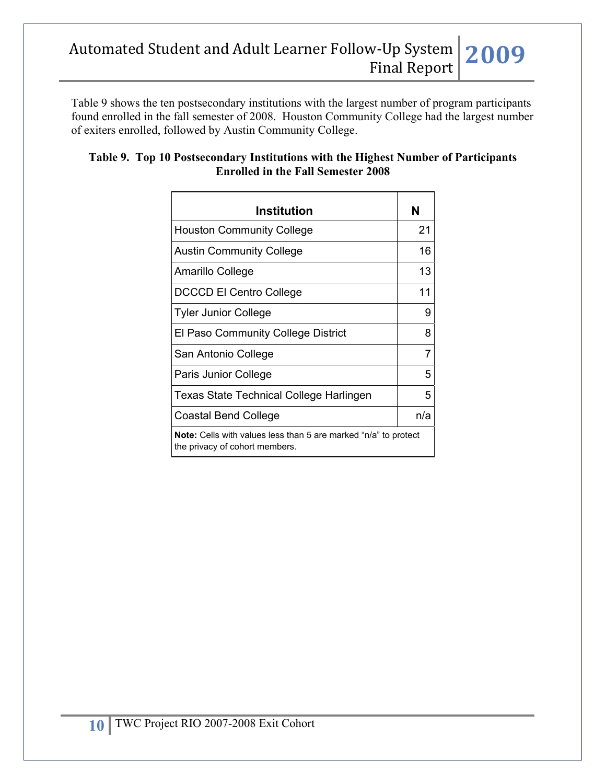Table 9 shows the ten postsecondary institutions with the largest number of program participants found enrolled in the fall semester of 2008. Houston Community College had the largest number of exiters enrolled, followed by Austin Community College.

| Institution                                                                                              | N   |
|----------------------------------------------------------------------------------------------------------|-----|
| <b>Houston Community College</b>                                                                         | 21  |
| <b>Austin Community College</b>                                                                          | 16  |
| Amarillo College                                                                                         | 13  |
| DCCCD El Centro College                                                                                  | 11  |
| <b>Tyler Junior College</b>                                                                              | 9   |
| El Paso Community College District                                                                       | 8   |
| San Antonio College                                                                                      | 7   |
| Paris Junior College                                                                                     | 5   |
| Texas State Technical College Harlingen                                                                  | 5   |
| Coastal Bend College                                                                                     | n/a |
| <b>Note:</b> Cells with values less than 5 are marked "n/a" to protect<br>the privacy of cohort members. |     |

### **Table 9. Top 10 Postsecondary Institutions with the Highest Number of Participants Enrolled in the Fall Semester 2008**